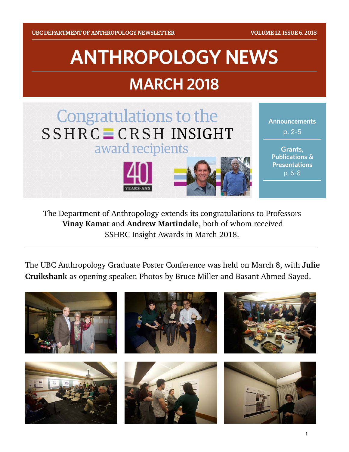# **ANTHROPOLOGY NEWS**

# **MARCH 2018**



The Department of Anthropology extends its congratulations to Professors **Vinay Kamat** and **Andrew Martindale**, both of whom received SSHRC Insight Awards in March 2018.

The UBC Anthropology Graduate Poster Conference was held on March 8, with **Julie Cruikshank** as opening speaker. Photos by Bruce Miller and Basant Ahmed Sayed.

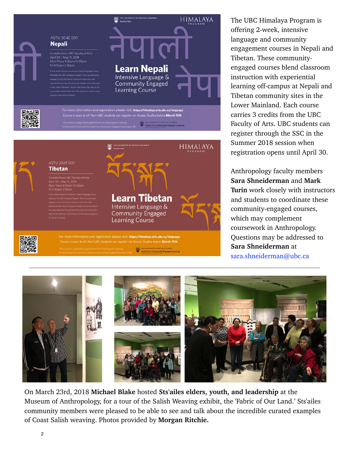



The UBC Himalaya Program is offering 2-week, intensive language and community engagement courses in Nepali and Tibetan. These communityengaged courses blend classroom instruction with experiential learning off-campus at Nepali and Tibetan community sites in the Lower Mainland. Each course carries 3 credits from the UBC Faculty of Arts. UBC students can register through the SSC in the Summer 2018 session when registration opens until April 30.

Anthropology faculty members **Sara Shneiderman** and **Mark Turin** work closely with instructors and students to coordinate these community-engaged courses, which may complement coursework in Anthropology. Questions may be addressed to **Sara Shneiderman** at sara.shneiderman@ubc.ca



On March 23rd, 2018 **Michael Blake** hosted **Sts'ailes elders, youth, and leadership** at the Museum of Anthropology, for a tour of the Salish Weaving exhibit, the 'Fabric of Our Land.' Sts'ailes community members were pleased to be able to see and talk about the incredible curated examples of Coast Salish weaving. Photos provided by **Morgan Ritchie.**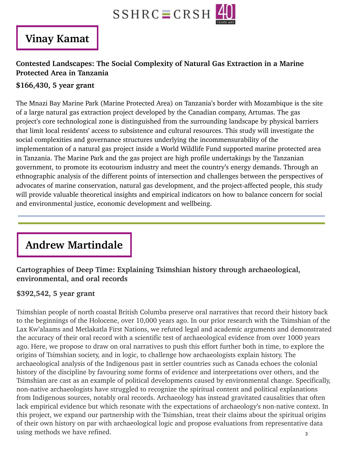

### **Vinay Kamat**

#### **Contested Landscapes: The Social Complexity of Natural Gas Extraction in a Marine Protected Area in Tanzania**

#### **\$166,430, 5 year grant**

The Mnazi Bay Marine Park (Marine Protected Area) on Tanzania's border with Mozambique is the site of a large natural gas extraction project developed by the Canadian company, Artumas. The gas project's core technological zone is distinguished from the surrounding landscape by physical barriers that limit local residents' access to subsistence and cultural resources. This study will investigate the social complexities and governance structures underlying the incommensurability of the implementation of a natural gas project inside a World Wildlife Fund supported marine protected area in Tanzania. The Marine Park and the gas project are high profile undertakings by the Tanzanian government, to promote its ecotourism industry and meet the country's energy demands. Through an ethnographic analysis of the different points of intersection and challenges between the perspectives of advocates of marine conservation, natural gas development, and the project-affected people, this study will provide valuable theoretical insights and empirical indicators on how to balance concern for social and environmental justice, economic development and wellbeing.

# **Andrew Martindale**

#### **Cartographies of Deep Time: Explaining Tsimshian history through archaeological, environmental, and oral records**

#### **\$392,542, 5 year grant**

Tsimshian people of north coastal British Columba preserve oral narratives that record their history back to the beginnings of the Holocene, over 10,000 years ago. In our prior research with the Tsimshian of the Lax Kw'alaams and Metlakatla First Nations, we refuted legal and academic arguments and demonstrated the accuracy of their oral record with a scientific test of archaeological evidence from over 1000 years ago. Here, we propose to draw on oral narratives to push this effort further both in time, to explore the origins of Tsimshian society, and in logic, to challenge how archaeologists explain history. The archaeological analysis of the Indigenous past in settler countries such as Canada echoes the colonial history of the discipline by favouring some forms of evidence and interpretations over others, and the Tsimshian are cast as an example of political developments caused by environmental change. Specifically, non-native archaeologists have struggled to recognize the spiritual content and political explanations from Indigenous sources, notably oral records. Archaeology has instead gravitated causalities that often lack empirical evidence but which resonate with the expectations of archaeology's non-native context. In this project, we expand our partnership with the Tsimshian, treat their claims about the spiritual origins of their own history on par with archaeological logic and propose evaluations from representative data using methods we have refined. 3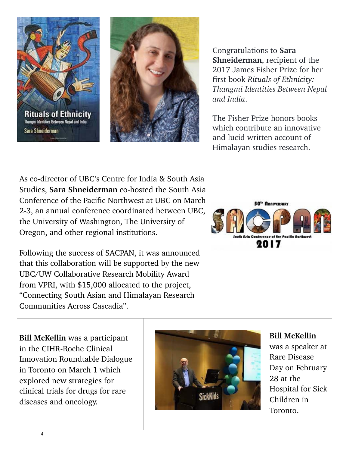



Congratulations to **Sara Shneiderman**, recipient of the 2017 James Fisher Prize for her first book *Rituals of Ethnicity: Thangmi Identities Between Nepal and India*.

The Fisher Prize honors books which contribute an innovative and lucid written account of Himalayan studies research.

As co-director of UBC's Centre for India & South Asia Studies, **Sara Shneiderman** co-hosted the South Asia Conference of the Pacific Northwest at UBC on March 2-3, an annual conference coordinated between UBC, the University of Washington, The University of Oregon, and other regional institutions.

Following the success of SACPAN, it was announced that this collaboration will be supported by the new UBC/UW Collaborative Research Mobility Award from VPRI, with \$15,000 allocated to the project, "Connecting South Asian and Himalayan Research Communities Across Cascadia".



**Bill McKellin** was a participant in the CIHR-Roche Clinical Innovation Roundtable Dialogue in Toronto on March 1 which explored new strategies for clinical trials for drugs for rare diseases and oncology.



**Bill McKellin** was a speaker at Rare Disease Day on February 28 at the Hospital for Sick Children in Toronto.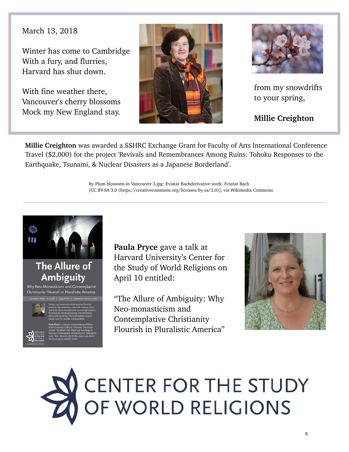March 13, 2018

Winter has come to Cambridge With a fury, and flurries, Harvard has shut down.

With fine weather there, Vancouver's cherry blossoms Mock my New England stay.





from my snowdrifts to your spring,

**Millie Creighton** 

**Millie Creighton** was awarded a SSHRC Exchange Grant for Faculty of Arts International Conference Travel (\$2,000) for the project 'Revivals and Remembrances Among Ruins: Tohoku Responses to the Earthquake, Tsunami, & Nuclear Disasters as a Japanese Borderland'.

> By Plum blossoms in Vancouver 3.jpg: Eviatar Bachderivative work: Eviatar Bach [CC BY-SA 3.0 (https://creativecommons.org/licenses/by-sa/3.0)], via Wikimedia Commons



**Paula Pryce** gave a talk at Harvard University's Center for the Study of World Religions on April 10 entitled:

"The Allure of Ambiguity: Why Neo-monasticism and Contemplative Christianity Flourish in Pluralistic America"



# CENTER FOR THE STUDY<br>OF WORLD RELIGIONS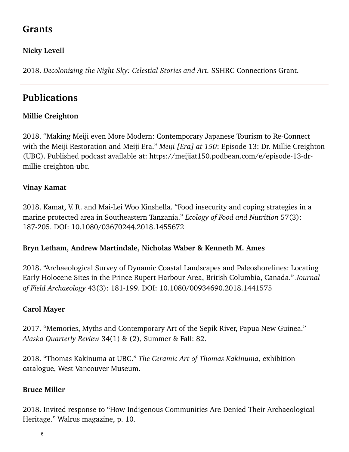#### **Grants**

#### **Nicky Levell**

2018. *Decolonizing the Night Sky: Celestial Stories and Art.* SSHRC Connections Grant.

## **Publications**

#### **Millie Creighton**

2018. "Making Meiji even More Modern: Contemporary Japanese Tourism to Re-Connect with the Meiji Restoration and Meiji Era." *Meiji [Era] at 150*: Episode 13: Dr. Millie Creighton (UBC). Published podcast available at: https://meijiat150.podbean.com/e/episode-13-drmillie-creighton-ubc.

#### **Vinay Kamat**

2018. Kamat, V. R. and Mai-Lei Woo Kinshella. "Food insecurity and coping strategies in a marine protected area in Southeastern Tanzania." *Ecology of Food and Nutrition* 57(3): 187-205. DOI: 10.1080/03670244.2018.1455672

#### **Bryn Letham, Andrew Martindale, Nicholas Waber & Kenneth M. Ames**

2018. "Archaeological Survey of Dynamic Coastal Landscapes and Paleoshorelines: Locating Early Holocene Sites in the Prince Rupert Harbour Area, British Columbia, Canada." *Journal of Field Archaeology* 43(3): 181-199. DOI: 10.1080/00934690.2018.1441575

#### **Carol Mayer**

2017. "Memories, Myths and Contemporary Art of the Sepik River, Papua New Guinea." *Alaska Quarterly Review* 34(1) & (2), Summer & Fall: 82.

2018. "Thomas Kakinuma at UBC." *The Ceramic Art of Thomas Kakinuma*, exhibition catalogue, West Vancouver Museum.

#### **Bruce Miller**

2018. Invited response to "How Indigenous Communities Are Denied Their Archaeological Heritage." Walrus magazine, p. 10.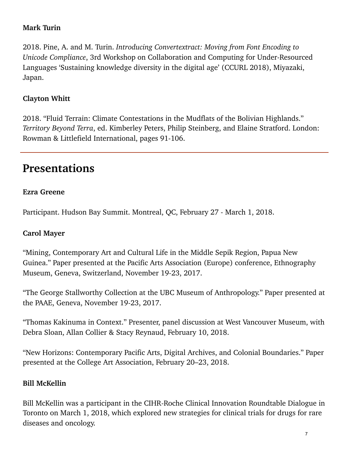#### **Mark Turin**

2018. Pine, A. and M. Turin. *Introducing Convertextract: Moving from Font Encoding to Unicode Compliance*, 3rd Workshop on Collaboration and Computing for Under-Resourced Languages 'Sustaining knowledge diversity in the digital age' (CCURL 2018), Miyazaki, Japan.

#### **Clayton Whitt**

2018. "Fluid Terrain: Climate Contestations in the Mudflats of the Bolivian Highlands." *Territory Beyond Terra*, ed. Kimberley Peters, Philip Steinberg, and Elaine Stratford. London: Rowman & Littlefield International, pages 91-106.

# **Presentations**

#### **Ezra Greene**

Participant. Hudson Bay Summit. Montreal, QC, February 27 - March 1, 2018.

#### **Carol Mayer**

"Mining, Contemporary Art and Cultural Life in the Middle Sepik Region, Papua New Guinea." Paper presented at the Pacific Arts Association (Europe) conference, Ethnography Museum, Geneva, Switzerland, November 19-23, 2017.

"The George Stallworthy Collection at the UBC Museum of Anthropology." Paper presented at the PAAE, Geneva, November 19-23, 2017.

"Thomas Kakinuma in Context." Presenter, panel discussion at West Vancouver Museum, with Debra Sloan, Allan Collier & Stacy Reynaud, February 10, 2018.

"New Horizons: Contemporary Pacific Arts, Digital Archives, and Colonial Boundaries." Paper presented at the College Art Association, February 20–23, 2018.

#### **Bill McKellin**

Bill McKellin was a participant in the CIHR-Roche Clinical Innovation Roundtable Dialogue in Toronto on March 1, 2018, which explored new strategies for clinical trials for drugs for rare diseases and oncology.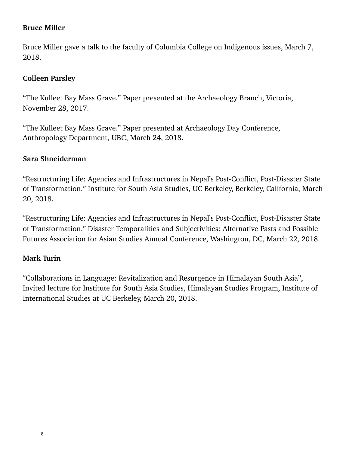#### **Bruce Miller**

Bruce Miller gave a talk to the faculty of Columbia College on Indigenous issues, March 7, 2018.

#### **Colleen Parsley**

"The Kulleet Bay Mass Grave." Paper presented at the Archaeology Branch, Victoria, November 28, 2017.

"The Kulleet Bay Mass Grave." Paper presented at Archaeology Day Conference, Anthropology Department, UBC, March 24, 2018.

#### **Sara Shneiderman**

"Restructuring Life: Agencies and Infrastructures in Nepal's Post-Conflict, Post-Disaster State of Transformation." Institute for South Asia Studies, UC Berkeley, Berkeley, California, March 20, 2018.

"Restructuring Life: Agencies and Infrastructures in Nepal's Post-Conflict, Post-Disaster State of Transformation." Disaster Temporalities and Subjectivities: Alternative Pasts and Possible Futures Association for Asian Studies Annual Conference, Washington, DC, March 22, 2018.

#### **Mark Turin**

"Collaborations in Language: Revitalization and Resurgence in Himalayan South Asia", Invited lecture for Institute for South Asia Studies, Himalayan Studies Program, Institute of International Studies at UC Berkeley, March 20, 2018.